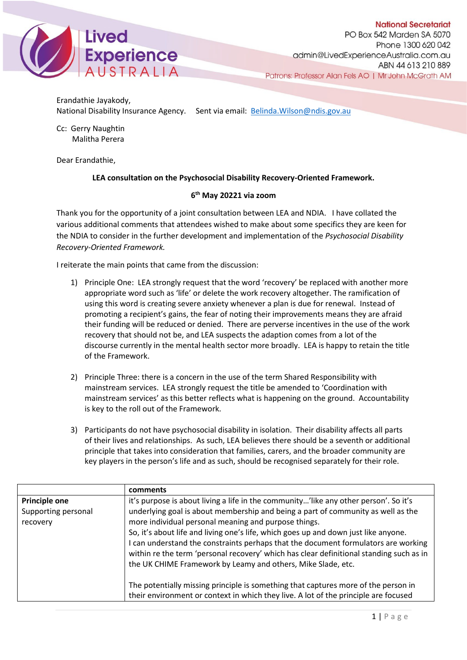

Erandathie Jayakody, National Disability Insurance Agency. Sent via email: [Belinda.Wilson@ndis.gov.au](mailto:Belinda.Wilson@ndis.gov.au)

Cc: Gerry Naughtin Malitha Perera

Dear Erandathie,

## **LEA consultation on the Psychosocial Disability Recovery-Oriented Framework.**

## **6th May 20221 via zoom**

Thank you for the opportunity of a joint consultation between LEA and NDIA. I have collated the various additional comments that attendees wished to make about some specifics they are keen for the NDIA to consider in the further development and implementation of the *Psychosocial Disability Recovery-Oriented Framework.*

I reiterate the main points that came from the discussion:

- 1) Principle One: LEA strongly request that the word 'recovery' be replaced with another more appropriate word such as 'life' or delete the work recovery altogether. The ramification of using this word is creating severe anxiety whenever a plan is due for renewal. Instead of promoting a recipient's gains, the fear of noting their improvements means they are afraid their funding will be reduced or denied. There are perverse incentives in the use of the work recovery that should not be, and LEA suspects the adaption comes from a lot of the discourse currently in the mental health sector more broadly. LEA is happy to retain the title of the Framework.
- 2) Principle Three: there is a concern in the use of the term Shared Responsibility with mainstream services. LEA strongly request the title be amended to 'Coordination with mainstream services' as this better reflects what is happening on the ground. Accountability is key to the roll out of the Framework.
- 3) Participants do not have psychosocial disability in isolation. Their disability affects all parts of their lives and relationships. As such, LEA believes there should be a seventh or additional principle that takes into consideration that families, carers, and the broader community are key players in the person's life and as such, should be recognised separately for their role.

|                      | comments                                                                                                                                                                                                                                                                                                                           |
|----------------------|------------------------------------------------------------------------------------------------------------------------------------------------------------------------------------------------------------------------------------------------------------------------------------------------------------------------------------|
| <b>Principle one</b> | it's purpose is about living a life in the community'like any other person'. So it's                                                                                                                                                                                                                                               |
| Supporting personal  | underlying goal is about membership and being a part of community as well as the                                                                                                                                                                                                                                                   |
| recovery             | more individual personal meaning and purpose things.                                                                                                                                                                                                                                                                               |
|                      | So, it's about life and living one's life, which goes up and down just like anyone.<br>can understand the constraints perhaps that the document formulators are working<br>within re the term 'personal recovery' which has clear definitional standing such as in<br>the UK CHIME Framework by Leamy and others, Mike Slade, etc. |
|                      | The potentially missing principle is something that captures more of the person in                                                                                                                                                                                                                                                 |
|                      | their environment or context in which they live. A lot of the principle are focused                                                                                                                                                                                                                                                |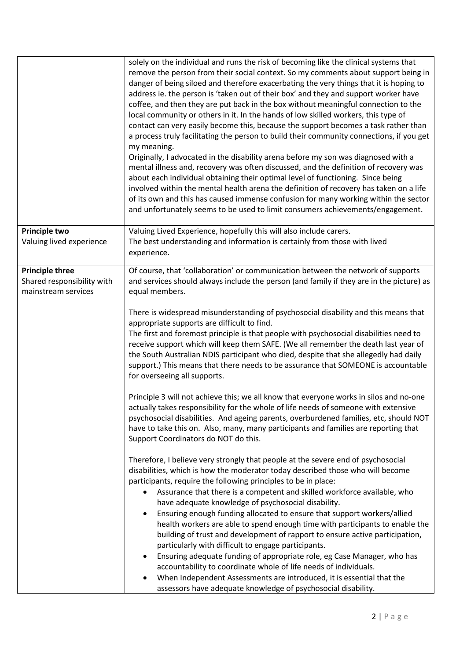|                                                                             | solely on the individual and runs the risk of becoming like the clinical systems that<br>remove the person from their social context. So my comments about support being in<br>danger of being siloed and therefore exacerbating the very things that it is hoping to<br>address ie. the person is 'taken out of their box' and they and support worker have<br>coffee, and then they are put back in the box without meaningful connection to the<br>local community or others in it. In the hands of low skilled workers, this type of<br>contact can very easily become this, because the support becomes a task rather than<br>a process truly facilitating the person to build their community connections, if you get<br>my meaning.<br>Originally, I advocated in the disability arena before my son was diagnosed with a<br>mental illness and, recovery was often discussed, and the definition of recovery was<br>about each individual obtaining their optimal level of functioning. Since being<br>involved within the mental health arena the definition of recovery has taken on a life |
|-----------------------------------------------------------------------------|-------------------------------------------------------------------------------------------------------------------------------------------------------------------------------------------------------------------------------------------------------------------------------------------------------------------------------------------------------------------------------------------------------------------------------------------------------------------------------------------------------------------------------------------------------------------------------------------------------------------------------------------------------------------------------------------------------------------------------------------------------------------------------------------------------------------------------------------------------------------------------------------------------------------------------------------------------------------------------------------------------------------------------------------------------------------------------------------------------|
|                                                                             | of its own and this has caused immense confusion for many working within the sector<br>and unfortunately seems to be used to limit consumers achievements/engagement.                                                                                                                                                                                                                                                                                                                                                                                                                                                                                                                                                                                                                                                                                                                                                                                                                                                                                                                                 |
| Principle two<br>Valuing lived experience                                   | Valuing Lived Experience, hopefully this will also include carers.<br>The best understanding and information is certainly from those with lived<br>experience.                                                                                                                                                                                                                                                                                                                                                                                                                                                                                                                                                                                                                                                                                                                                                                                                                                                                                                                                        |
| <b>Principle three</b><br>Shared responsibility with<br>mainstream services | Of course, that 'collaboration' or communication between the network of supports<br>and services should always include the person (and family if they are in the picture) as<br>equal members.                                                                                                                                                                                                                                                                                                                                                                                                                                                                                                                                                                                                                                                                                                                                                                                                                                                                                                        |
|                                                                             | There is widespread misunderstanding of psychosocial disability and this means that<br>appropriate supports are difficult to find.<br>The first and foremost principle is that people with psychosocial disabilities need to<br>receive support which will keep them SAFE. (We all remember the death last year of<br>the South Australian NDIS participant who died, despite that she allegedly had daily<br>support.) This means that there needs to be assurance that SOMEONE is accountable<br>for overseeing all supports.                                                                                                                                                                                                                                                                                                                                                                                                                                                                                                                                                                       |
|                                                                             | Principle 3 will not achieve this; we all know that everyone works in silos and no-one<br>actually takes responsibility for the whole of life needs of someone with extensive<br>psychosocial disabilities. And ageing parents, overburdened families, etc, should NOT<br>have to take this on. Also, many, many participants and families are reporting that<br>Support Coordinators do NOT do this.                                                                                                                                                                                                                                                                                                                                                                                                                                                                                                                                                                                                                                                                                                 |
|                                                                             | Therefore, I believe very strongly that people at the severe end of psychosocial<br>disabilities, which is how the moderator today described those who will become<br>participants, require the following principles to be in place:<br>Assurance that there is a competent and skilled workforce available, who<br>have adequate knowledge of psychosocial disability.<br>Ensuring enough funding allocated to ensure that support workers/allied<br>health workers are able to spend enough time with participants to enable the<br>building of trust and development of rapport to ensure active participation,<br>particularly with difficult to engage participants.<br>Ensuring adequate funding of appropriate role, eg Case Manager, who has<br>$\bullet$<br>accountability to coordinate whole of life needs of individuals.<br>When Independent Assessments are introduced, it is essential that the<br>assessors have adequate knowledge of psychosocial disability.                                                                                                                       |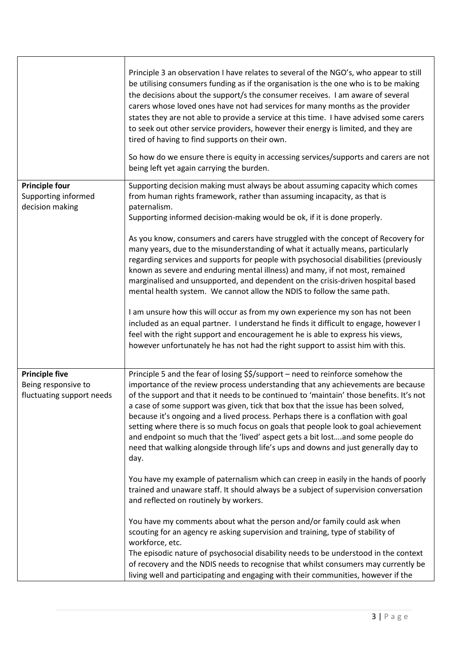|                                                                           | Principle 3 an observation I have relates to several of the NGO's, who appear to still<br>be utilising consumers funding as if the organisation is the one who is to be making<br>the decisions about the support/s the consumer receives. I am aware of several<br>carers whose loved ones have not had services for many months as the provider<br>states they are not able to provide a service at this time. I have advised some carers<br>to seek out other service providers, however their energy is limited, and they are<br>tired of having to find supports on their own.<br>So how do we ensure there is equity in accessing services/supports and carers are not<br>being left yet again carrying the burden.                                                                                                                                                                                                                                                                                                                                                                                           |
|---------------------------------------------------------------------------|---------------------------------------------------------------------------------------------------------------------------------------------------------------------------------------------------------------------------------------------------------------------------------------------------------------------------------------------------------------------------------------------------------------------------------------------------------------------------------------------------------------------------------------------------------------------------------------------------------------------------------------------------------------------------------------------------------------------------------------------------------------------------------------------------------------------------------------------------------------------------------------------------------------------------------------------------------------------------------------------------------------------------------------------------------------------------------------------------------------------|
| <b>Principle four</b><br>Supporting informed<br>decision making           | Supporting decision making must always be about assuming capacity which comes<br>from human rights framework, rather than assuming incapacity, as that is<br>paternalism.<br>Supporting informed decision-making would be ok, if it is done properly.<br>As you know, consumers and carers have struggled with the concept of Recovery for<br>many years, due to the misunderstanding of what it actually means, particularly<br>regarding services and supports for people with psychosocial disabilities (previously<br>known as severe and enduring mental illness) and many, if not most, remained<br>marginalised and unsupported, and dependent on the crisis-driven hospital based<br>mental health system. We cannot allow the NDIS to follow the same path.<br>I am unsure how this will occur as from my own experience my son has not been<br>included as an equal partner. I understand he finds it difficult to engage, however I<br>feel with the right support and encouragement he is able to express his views,<br>however unfortunately he has not had the right support to assist him with this. |
| <b>Principle five</b><br>Being responsive to<br>fluctuating support needs | Principle 5 and the fear of losing \$\$/support - need to reinforce somehow the<br>importance of the review process understanding that any achievements are because<br>of the support and that it needs to be continued to 'maintain' those benefits. It's not<br>a case of some support was given, tick that box that the issue has been solved,<br>because it's ongoing and a lived process. Perhaps there is a conflation with goal<br>setting where there is so much focus on goals that people look to goal achievement<br>and endpoint so much that the 'lived' aspect gets a bit lostand some people do<br>need that walking alongside through life's ups and downs and just generally day to<br>day.<br>You have my example of paternalism which can creep in easily in the hands of poorly<br>trained and unaware staff. It should always be a subject of supervision conversation<br>and reflected on routinely by workers.<br>You have my comments about what the person and/or family could ask when                                                                                                    |
|                                                                           | scouting for an agency re asking supervision and training, type of stability of<br>workforce, etc.<br>The episodic nature of psychosocial disability needs to be understood in the context<br>of recovery and the NDIS needs to recognise that whilst consumers may currently be<br>living well and participating and engaging with their communities, however if the                                                                                                                                                                                                                                                                                                                                                                                                                                                                                                                                                                                                                                                                                                                                               |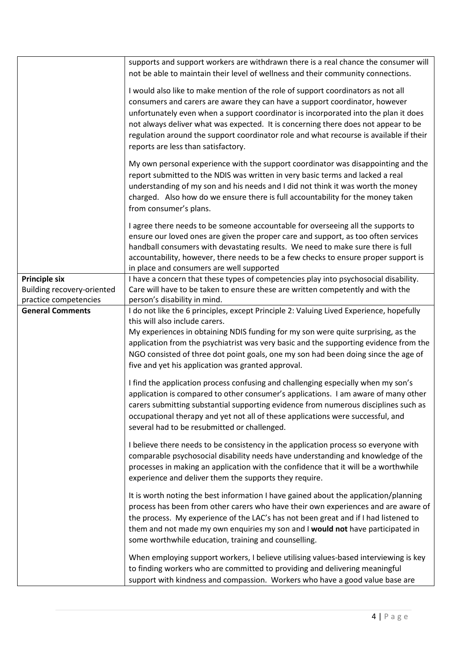|                                                    | supports and support workers are withdrawn there is a real chance the consumer will<br>not be able to maintain their level of wellness and their community connections.                                                                                                                                                                                                                                                                                                       |
|----------------------------------------------------|-------------------------------------------------------------------------------------------------------------------------------------------------------------------------------------------------------------------------------------------------------------------------------------------------------------------------------------------------------------------------------------------------------------------------------------------------------------------------------|
|                                                    | I would also like to make mention of the role of support coordinators as not all<br>consumers and carers are aware they can have a support coordinator, however<br>unfortunately even when a support coordinator is incorporated into the plan it does<br>not always deliver what was expected. It is concerning there does not appear to be<br>regulation around the support coordinator role and what recourse is available if their<br>reports are less than satisfactory. |
|                                                    | My own personal experience with the support coordinator was disappointing and the<br>report submitted to the NDIS was written in very basic terms and lacked a real<br>understanding of my son and his needs and I did not think it was worth the money<br>charged. Also how do we ensure there is full accountability for the money taken<br>from consumer's plans.                                                                                                          |
|                                                    | I agree there needs to be someone accountable for overseeing all the supports to<br>ensure our loved ones are given the proper care and support, as too often services<br>handball consumers with devastating results. We need to make sure there is full<br>accountability, however, there needs to be a few checks to ensure proper support is<br>in place and consumers are well supported                                                                                 |
| <b>Principle six</b><br>Building recovery-oriented | I have a concern that these types of competencies play into psychosocial disability.<br>Care will have to be taken to ensure these are written competently and with the                                                                                                                                                                                                                                                                                                       |
| practice competencies                              | person's disability in mind.                                                                                                                                                                                                                                                                                                                                                                                                                                                  |
| <b>General Comments</b>                            | I do not like the 6 principles, except Principle 2: Valuing Lived Experience, hopefully<br>this will also include carers.<br>My experiences in obtaining NDIS funding for my son were quite surprising, as the<br>application from the psychiatrist was very basic and the supporting evidence from the<br>NGO consisted of three dot point goals, one my son had been doing since the age of<br>five and yet his application was granted approval.                           |
|                                                    | I find the application process confusing and challenging especially when my son's<br>application is compared to other consumer's applications. I am aware of many other<br>carers submitting substantial supporting evidence from numerous disciplines such as<br>occupational therapy and yet not all of these applications were successful, and<br>several had to be resubmitted or challenged.                                                                             |
|                                                    | I believe there needs to be consistency in the application process so everyone with<br>comparable psychosocial disability needs have understanding and knowledge of the<br>processes in making an application with the confidence that it will be a worthwhile<br>experience and deliver them the supports they require.                                                                                                                                                      |
|                                                    | It is worth noting the best information I have gained about the application/planning<br>process has been from other carers who have their own experiences and are aware of<br>the process. My experience of the LAC's has not been great and if I had listened to<br>them and not made my own enquiries my son and I would not have participated in<br>some worthwhile education, training and counselling.                                                                   |
|                                                    | When employing support workers, I believe utilising values-based interviewing is key<br>to finding workers who are committed to providing and delivering meaningful<br>support with kindness and compassion. Workers who have a good value base are                                                                                                                                                                                                                           |